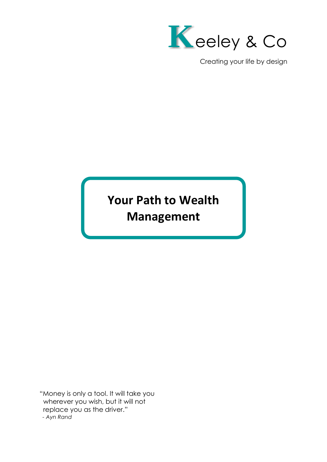

Creating your life by design

# **Your Path to Wealth Management**

"Money is only a tool. It will take you wherever you wish, but it will not replace you as the driver."  *- Ayn Rand*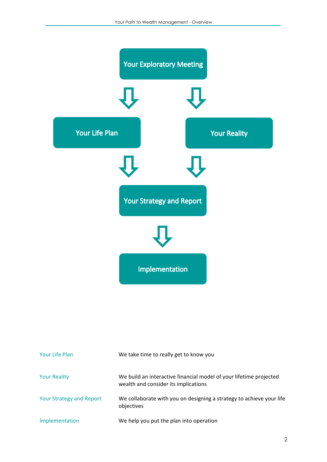

| Your Life Plan                  | We take time to really get to know you                                                                     |
|---------------------------------|------------------------------------------------------------------------------------------------------------|
| <b>Your Reality</b>             | We build an interactive financial model of your lifetime projected<br>wealth and consider its implications |
| <b>Your Strategy and Report</b> | We collaborate with you on designing a strategy to achieve your life<br>objectives                         |
| Implementation                  | We help you put the plan into operation                                                                    |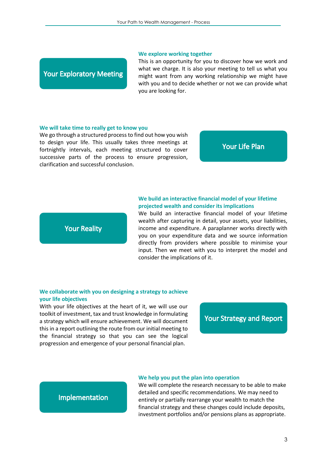#### **We explore working together**

# **Your Exploratory Meeting**

This is an opportunity for you to discover how we work and what we charge. It is also your meeting to tell us what you might want from any working relationship we might have with you and to decide whether or not we can provide what you are looking for.

#### **We will take time to really get to know you**

We go through a structured process to find out how you wish to design your life. This usually takes three meetings at fortnightly intervals, each meeting structured to cover successive parts of the process to ensure progression, clarification and successful conclusion.

#### **Your Life Plan**

# **Your Reality**

### **We build an interactive financial model of your lifetime projected wealth and consider its implications**

We build an interactive financial model of your lifetime wealth after capturing in detail, your assets, your liabilities, income and expenditure. A paraplanner works directly with you on your expenditure data and we source information directly from providers where possible to minimise your input. Then we meet with you to interpret the model and consider the implications of it.

#### **We collaborate with you on designing a strategy to achieve your life objectives**

With your life objectives at the heart of it, we will use our toolkit of investment, tax and trust knowledge in formulating a strategy which will ensure achievement. We will document this in a report outlining the route from our initial meeting to the financial strategy so that you can see the logical progression and emergence of your personal financial plan.

## **Your Strategy and Report**

## Implementation

#### **We help you put the plan into operation**

We will complete the research necessary to be able to make detailed and specific recommendations. We may need to entirely or partially rearrange your wealth to match the financial strategy and these changes could include deposits, investment portfolios and/or pensions plans as appropriate.